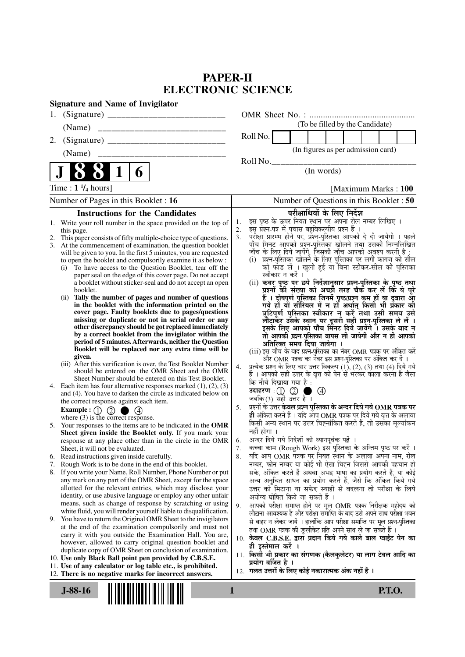## **PAPER-II ELECTRONIC SCIENCE**

| <b>Signature and Name of Invigilator</b>                                                                                                                                                                                                                                                                                                                                                                                                                                                                                                                                                                                                                          |                |                                                                                                                   |                                                                                                                                                                                                                                                                                                                                                                                                                                                                                                                                                                                                                                    |                                 |               |  |
|-------------------------------------------------------------------------------------------------------------------------------------------------------------------------------------------------------------------------------------------------------------------------------------------------------------------------------------------------------------------------------------------------------------------------------------------------------------------------------------------------------------------------------------------------------------------------------------------------------------------------------------------------------------------|----------------|-------------------------------------------------------------------------------------------------------------------|------------------------------------------------------------------------------------------------------------------------------------------------------------------------------------------------------------------------------------------------------------------------------------------------------------------------------------------------------------------------------------------------------------------------------------------------------------------------------------------------------------------------------------------------------------------------------------------------------------------------------------|---------------------------------|---------------|--|
| 1.                                                                                                                                                                                                                                                                                                                                                                                                                                                                                                                                                                                                                                                                |                |                                                                                                                   |                                                                                                                                                                                                                                                                                                                                                                                                                                                                                                                                                                                                                                    |                                 |               |  |
| (Name)                                                                                                                                                                                                                                                                                                                                                                                                                                                                                                                                                                                                                                                            |                |                                                                                                                   |                                                                                                                                                                                                                                                                                                                                                                                                                                                                                                                                                                                                                                    | (To be filled by the Candidate) |               |  |
| 2.                                                                                                                                                                                                                                                                                                                                                                                                                                                                                                                                                                                                                                                                |                | Roll No.                                                                                                          |                                                                                                                                                                                                                                                                                                                                                                                                                                                                                                                                                                                                                                    |                                 |               |  |
| (Name)                                                                                                                                                                                                                                                                                                                                                                                                                                                                                                                                                                                                                                                            |                |                                                                                                                   | (In figures as per admission card)                                                                                                                                                                                                                                                                                                                                                                                                                                                                                                                                                                                                 |                                 |               |  |
|                                                                                                                                                                                                                                                                                                                                                                                                                                                                                                                                                                                                                                                                   |                | Roll No.                                                                                                          |                                                                                                                                                                                                                                                                                                                                                                                                                                                                                                                                                                                                                                    |                                 |               |  |
| 6                                                                                                                                                                                                                                                                                                                                                                                                                                                                                                                                                                                                                                                                 |                |                                                                                                                   | (In words)                                                                                                                                                                                                                                                                                                                                                                                                                                                                                                                                                                                                                         |                                 |               |  |
| Time : $1 \frac{1}{4}$ hours]                                                                                                                                                                                                                                                                                                                                                                                                                                                                                                                                                                                                                                     |                |                                                                                                                   |                                                                                                                                                                                                                                                                                                                                                                                                                                                                                                                                                                                                                                    | [Maximum Marks: 100             |               |  |
| Number of Pages in this Booklet : 16                                                                                                                                                                                                                                                                                                                                                                                                                                                                                                                                                                                                                              |                |                                                                                                                   | Number of Questions in this Booklet : 50                                                                                                                                                                                                                                                                                                                                                                                                                                                                                                                                                                                           |                                 |               |  |
| <b>Instructions for the Candidates</b>                                                                                                                                                                                                                                                                                                                                                                                                                                                                                                                                                                                                                            |                |                                                                                                                   | परीक्षार्थियों के लिए निर्देश                                                                                                                                                                                                                                                                                                                                                                                                                                                                                                                                                                                                      |                                 |               |  |
| this page.<br>This paper consists of fifty multiple-choice type of questions.<br>2.<br>At the commencement of examination, the question booklet<br>3.<br>will be given to you. In the first 5 minutes, you are requested<br>to open the booklet and compulsorily examine it as below :<br>To have access to the Question Booklet, tear off the<br>(i)<br>paper seal on the edge of this cover page. Do not accept<br>a booklet without sticker-seal and do not accept an open<br>booklet.<br>Tally the number of pages and number of questions<br>(i)<br>in the booklet with the information printed on the<br>cover page. Faulty booklets due to pages/questions | 2.<br>3.       | स्वीकार न करें ।                                                                                                  | इस प्रश्न-पत्र में पचास बहुविकल्पीय प्रश्न हैं ।<br>परीक्षा प्रारम्भ होने पर, प्रश्न-पुस्तिका आपको दे दी जायेगी । पहले<br>पाँच मिनट आपको प्रश्न-पुस्तिका खोलने तथा उसकी निम्नलिखित<br>जाँच के लिए दिये जायेंगे, जिसकी जाँच आपको अवश्य करनी है :<br>(i) प्रश्न-पुस्तिका खोलने के लिए पुस्तिका पर लगी कागज की सील<br>को फाँड़ लें । खुली हुई या बिना स्टीकर-सील की पुस्तिका<br>(ii) कवर पृष्ठ पर छपे निर्देशानुसार प्रश्न-पुस्तिका के पृष्ठ तथा<br>प्रश्नों की संख्या को अच्छी तरह चैक कर लें कि ये पूरे<br>हैं । दोषपूर्ण पुस्तिका जि़नमें पृष्ठ/प्रश्न कम हों या दुबारा आ<br>गये हों यो सीरियल में न हों अर्थात् किसी भी प्रकार की |                                 |               |  |
| missing or duplicate or not in serial order or any<br>other discrepancy should be got replaced immediately<br>by a correct booklet from the invigilator within the<br>period of 5 minutes. Afterwards, neither the Question<br>Booklet will be replaced nor any extra time will be<br>given.<br>(iii) After this verification is over, the Test Booklet Number<br>should be entered on the OMR Sheet and the OMR<br>Sheet Number should be entered on this Test Booklet.<br>4. Each item has four alternative responses marked $(1)$ , $(2)$ , $(3)$<br>and (4). You have to darken the circle as indicated below on<br>the correct response against each item.   | 4.             | कि नीचे दिखाया गया है :<br>उदाहरण $:\!\!\left(\!\begin{array}{c}\right)\!\!\!\!\right)$<br>जबकि(3) सही उत्तर है । | त्रुटिपूर्ण पुस्तिका स्वीकार न करें तथा उसी समय उसे<br>लौटाकर उसके स्थान पर दूसरी सही प्रश्न-पुस्तिका ले लें ।<br>इसके लिए आपको पाँच मिंनट दिये जायेंगे । उसके बाद न<br>तो आपकी प्रश्न-पुस्तिका वापस ली जायेगी और न ही आपको<br>अतिरिक्त समय दिया जायेगा ।<br>(iii) इस जाँच के बाद प्रश्न-पुस्तिका का नंबर OMR पत्रक पर अंकित करें<br>और OMR पत्रक का नेंबर इस प्रश्न-पुस्तिका पर अंकित कर दें ।<br>प्रत्येक प्रश्न के लिए चार उत्तर विकल्प (1), (2), (3) तथा (4) दिये गये<br>हैं । आपको सही उत्तर के वृत्त को पेन से भरकर काला करना है जैसा<br>$\circledcirc$                                                                      |                                 |               |  |
| $\circledcirc$<br>Example : $\textcircled{\scriptsize{1}}$                                                                                                                                                                                                                                                                                                                                                                                                                                                                                                                                                                                                        | 5.             |                                                                                                                   | प्रश्नों के उत्तर <b>केवल प्रश्न पुस्तिका के अन्दर दिये गये OMR पत्रक पर</b><br>ही अंकित करने हैं । यदि आप OMR पत्रक पर दिये गये वृत्त के अलावा                                                                                                                                                                                                                                                                                                                                                                                                                                                                                    |                                 |               |  |
| where $(3)$ is the correct response.<br>5. Your responses to the items are to be indicated in the OMR<br>Sheet given inside the Booklet only. If you mark your<br>response at any place other than in the circle in the OMR<br>Sheet, it will not be evaluated.<br>Read instructions given inside carefully.                                                                                                                                                                                                                                                                                                                                                      | 6.<br>7.<br>8. | नहीं होगा ।                                                                                                       | किसी अन्य स्थान पर उत्तर चिह्नांकित करते हैं, तो उसका मूल्यांकन<br>अन्दर दिये गये निर्देशों को ध्यानपूर्वक पढ़ें ।<br>कच्चा काम (Rough Work) इस पुस्तिका के अन्तिम पृष्ठ पर करें ।<br>यदि आप OMR पत्रक पर नियत स्थान के अलावा अपना नाम, रोल                                                                                                                                                                                                                                                                                                                                                                                        |                                 |               |  |
| 6.<br>Rough Work is to be done in the end of this booklet.<br>7.                                                                                                                                                                                                                                                                                                                                                                                                                                                                                                                                                                                                  |                |                                                                                                                   | नम्बर, फोन नम्बर या कोई भी ऐसा चिह्न जिससे आपकी पहचान हो                                                                                                                                                                                                                                                                                                                                                                                                                                                                                                                                                                           |                                 |               |  |
| If you write your Name, Roll Number, Phone Number or put<br>8.<br>any mark on any part of the OMR Sheet, except for the space<br>allotted for the relevant entries, which may disclose your<br>identity, or use abusive language or employ any other unfair<br>means, such as change of response by scratching or using                                                                                                                                                                                                                                                                                                                                           | 9.             |                                                                                                                   | सके, अंकित करते हैं अथवा अभद्र भाषा का प्रयोग करते हैं, या कोई<br>अन्य अनुचित साधन का प्रयोग करते हैं, जैसे कि अंकित किये गये<br>उत्तर को मिटाना या सफेद स्याही से बदलना तो परीक्षा के लिये<br>अयोग्य घोषित किये जा सकते हैं ।<br>आपको परीक्षा समाप्त होने पर मूल OMR पत्रक निरीक्षक महोदय को                                                                                                                                                                                                                                                                                                                                      |                                 |               |  |
| white fluid, you will render yourself liable to disqualification.<br>9. You have to return the Original OMR Sheet to the invigilators<br>at the end of the examination compulsorily and must not<br>carry it with you outside the Examination Hall. You are,<br>however, allowed to carry original question booklet and<br>duplicate copy of OMR Sheet on conclusion of examination.                                                                                                                                                                                                                                                                              |                | ही इस्तेमाल करें ।                                                                                                | लौटाना आवश्यक है और परीक्षा समाप्ति के बाद उसे अपने साथ परीक्षा भवन<br>से बाहर न लेकर जायें । हालांकि आप परीक्षा समाप्ति पर मूल प्रश्न-पुस्तिका<br>तथा OMR पत्रक की डुप्लीकेट प्रति अपने साथ ले जा सकते हैं ।<br>10. केवल C.B.S.E. द्वारा प्रदान किये गये काले बाल प्वाईंट पेन का                                                                                                                                                                                                                                                                                                                                                  |                                 |               |  |
| 10. Use only Black Ball point pen provided by C.B.S.E.                                                                                                                                                                                                                                                                                                                                                                                                                                                                                                                                                                                                            |                | प्रयोग वर्जित है ।                                                                                                | 11. किसी भी प्रकार का संगणक (कैलकुलेटर) या लाग टेबल आदि का                                                                                                                                                                                                                                                                                                                                                                                                                                                                                                                                                                         |                                 |               |  |
| 11. Use of any calculator or log table etc., is prohibited.<br>12. There is no negative marks for incorrect answers.                                                                                                                                                                                                                                                                                                                                                                                                                                                                                                                                              |                |                                                                                                                   | 12. गलत उत्तरों के लिए कोई नकारात्मक अंक नहीं हैं ।                                                                                                                                                                                                                                                                                                                                                                                                                                                                                                                                                                                |                                 |               |  |
| $J-88-16$                                                                                                                                                                                                                                                                                                                                                                                                                                                                                                                                                                                                                                                         | $\mathbf{1}$   |                                                                                                                   |                                                                                                                                                                                                                                                                                                                                                                                                                                                                                                                                                                                                                                    |                                 | <b>P.T.O.</b> |  |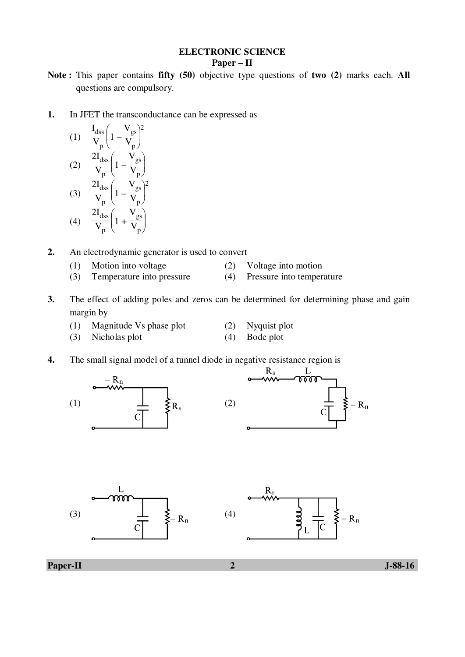### **ELECTRONIC SCIENCE Paper – II**

- **Note :** This paper contains **fifty (50)** objective type questions of **two (2)** marks each. **All** questions are compulsory.
- **1.** In JFET the transconductance can be expressed as

(1) 
$$
\frac{I_{dss}}{V_p} \left( 1 - \frac{V_{gs}}{V_p} \right)^2
$$
  
(2) 
$$
\frac{2I_{dss}}{V_p} \left( 1 - \frac{V_{gs}}{V_p} \right)
$$
  
(3) 
$$
\frac{2I_{dss}}{V_p} \left( 1 - \frac{V_{gs}}{V_p} \right)^2
$$
  
(4) 
$$
\frac{2I_{dss}}{V_p} \left( 1 + \frac{V_{gs}}{V_p} \right)
$$

- **2.** An electrodynamic generator is used to convert
	- (1) Motion into voltage (2) Voltage into motion
	- (3) Temperature into pressure (4) Pressure into temperature
- **3.** The effect of adding poles and zeros can be determined for determining phase and gain margin by
	- (1) Magnitude Vs phase plot (2) Nyquist plot
	- (3) Nicholas plot (4) Bode plot
- -
- **4.** The small signal model of a tunnel diode in negative resistance region is







L

 $-R_n$ 

**Paper-II** J-88-16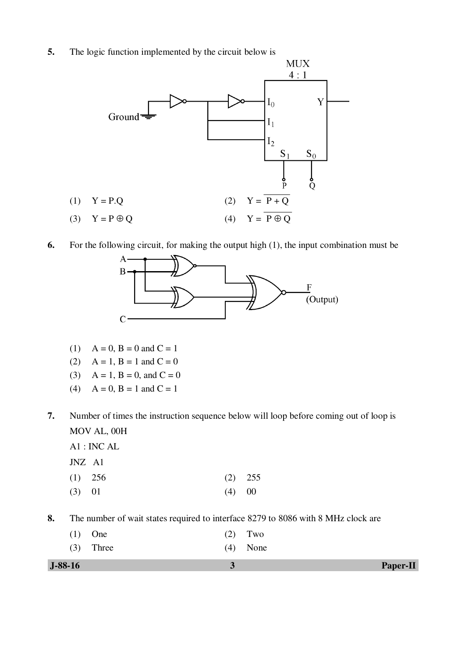**5.** The logic function implemented by the circuit below is



**6.** For the following circuit, for making the output high (1), the input combination must be



- (1)  $A = 0$ ,  $B = 0$  and  $C = 1$
- (2)  $A = 1$ ,  $B = 1$  and  $C = 0$
- (3)  $A = 1$ ,  $B = 0$ , and  $C = 0$
- (4)  $A = 0$ ,  $B = 1$  and  $C = 1$
- **7.** Number of times the instruction sequence below will loop before coming out of loop is MOV AL, 00H
	- A1 : INC AL
	- JNZ A1
- (1) 256 (2) 255 (3) 01 (4) 00

**8.** The number of wait states required to interface 8279 to 8086 with 8 MHz clock are

| $J-88-16$ |             |            | <b>Paper-II</b> |
|-----------|-------------|------------|-----------------|
|           | $(3)$ Three | $(4)$ None |                 |
|           | $(1)$ One   | $(2)$ Two  |                 |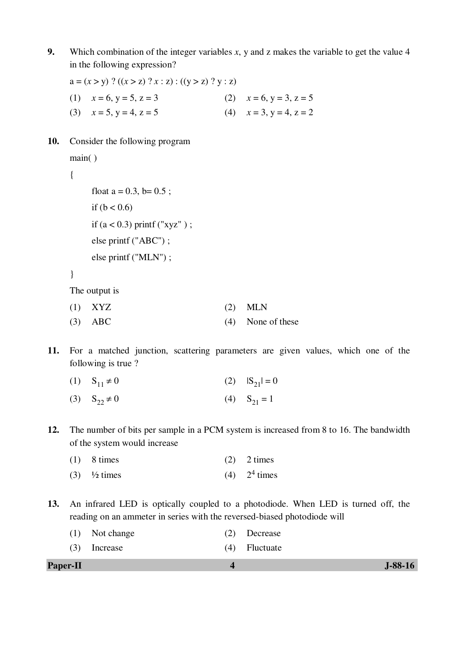**9.** Which combination of the integer variables *x*, y and z makes the variable to get the value 4 in the following expression?

 $a = (x > y)$  ?  $((x > z)$  ?  $x : z)$  :  $((y > z)$  ?  $y : z)$ (1)  $x = 6, y = 5, z = 3$  (2)  $x = 6, y = 3, z = 5$ (3)  $x = 5, y = 4, z = 5$  (4)  $x = 3, y = 4, z = 2$ 

**10.** Consider the following program

```
 main( )
```

```
 {
```

```
float a = 0.3, b = 0.5;
if (b < 0.6)if (a < 0.3) printf ("xyz" );
 else printf ("ABC") ; 
 else printf ("MLN") ;
```

```
 }
```
The output is

| $(1)$ XYZ |  | $(2)$ MLN |  |
|-----------|--|-----------|--|
|           |  |           |  |

- (3) ABC (4) None of these
- **11.** For a matched junction, scattering parameters are given values, which one of the following is true ?
	- (1)  $S_{11} \neq 0$  (2)  $|S_{21}| = 0$
	- (3)  $S_{22} \neq 0$  (4)  $S_{21} = 1$
- **12.** The number of bits per sample in a PCM system is increased from 8 to 16. The bandwidth of the system would increase

| $(1)$ 8 times                           | $(2)$ 2 times    |
|-----------------------------------------|------------------|
| $(3)$ <sup>1</sup> / <sub>2</sub> times | $(4)$ $24$ times |

**13.** An infrared LED is optically coupled to a photodiode. When LED is turned off, the reading on an ammeter in series with the reversed-biased photodiode will

| <b>Paper-II</b> |                |                 | $J-88-16$ |
|-----------------|----------------|-----------------|-----------|
|                 | $(3)$ Increase | $(4)$ Fluctuate |           |
|                 | (1) Not change | $(2)$ Decrease  |           |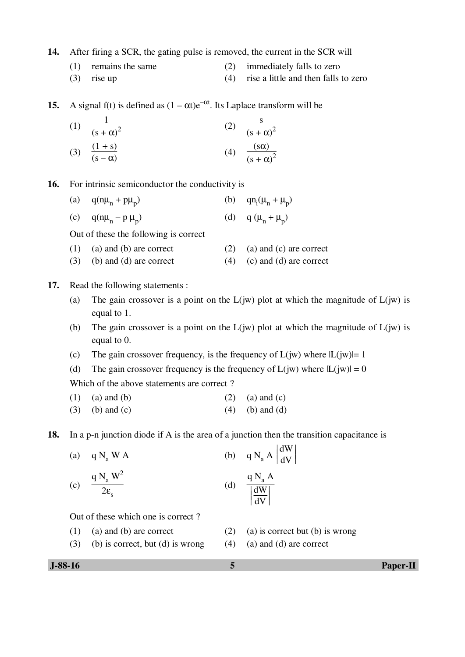**14.** After firing a SCR, the gating pulse is removed, the current in the SCR will

- (1) remains the same (2) immediately falls to zero
	- (3) rise up (4) rise a little and then falls to zero

**15.** A signal f(t) is defined as  $(1 - \alpha t)e^{-\alpha t}$ . Its Laplace transform will be

(1) 
$$
\frac{1}{(s+\alpha)^2}
$$
  
\n(2)  $\frac{s}{(s+\alpha)^2}$   
\n(3)  $\frac{(1+s)}{(s-\alpha)}$   
\n(4)  $\frac{(s\alpha)}{(s+\alpha)^2}$ 

**16.** For intrinsic semiconductor the conductivity is

- (a)  $q(n\mu_n + p\mu_p)$  $(b)$  $(\mu_n + \mu_p)$
- (c)  $q(n\mu_n p\mu_p)$ (d) q  $(\mu_n + \mu_p)$

Out of these the following is correct

- (1) (a) and (b) are correct (2) (a) and (c) are correct
- (3) (b) and (d) are correct (4) (c) and (d) are correct
- **17.** Read the following statements :
	- (a) The gain crossover is a point on the  $L(iw)$  plot at which the magnitude of  $L(iw)$  is equal to 1.

 $\ddot{\phantom{a}}$ 

 $\ddot{\phantom{0}}$ 

- (b) The gain crossover is a point on the  $L(iw)$  plot at which the magnitude of  $L(iw)$  is equal to 0.
- (c) The gain crossover frequency, is the frequency of  $L(iw)$  where  $|L(iw)|=1$
- (d) The gain crossover frequency is the frequency of  $L(iw)$  where  $|L(iw)| = 0$

Which of the above statements are correct?

- (1) (a) and (b) (2) (a) and (c)
- (3) (b) and (c)  $(4)$  (b) and (d)

**18.** In a p-n junction diode if A is the area of a junction then the transition capacitance is

(a) 
$$
qN_a WA
$$
 (b)  $qN_a A \left| \frac{dW}{dV} \right|$   
\n(c)  $\frac{qN_a W^2}{2\epsilon_s}$  (d)  $\frac{qN_a A}{\left| \frac{dW}{dV} \right|}$   
\nOut of these which one is correct?  
\n(1) (a) and (b) are correct (2) (a) is correct but (b) is wrong

- 
- (3) (b) is correct, but (d) is wrong (4) (a) and (d) are correct
- -

 **J-88-16 5 Paper-II**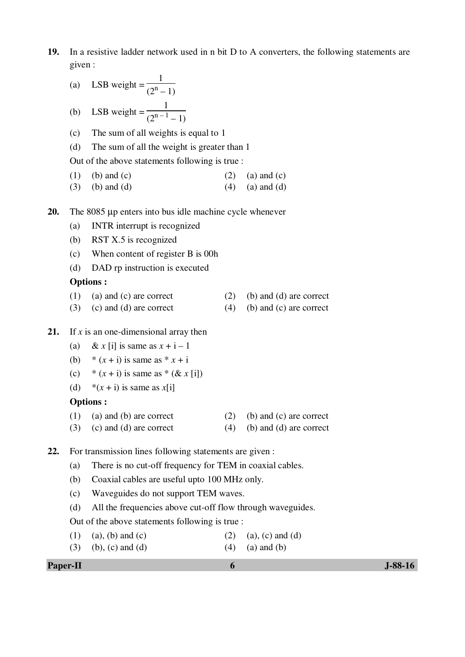**19.** In a resistive ladder network used in n bit D to A converters, the following statements are given :

(a) LSB weight = 
$$
\frac{1}{(2^n - 1)}
$$

(b) LSB weight = 
$$
\frac{1}{(2^{n-1} - 1)}
$$

- (c) The sum of all weights is equal to 1
- (d) The sum of all the weight is greater than 1

Out of the above statements following is true :

(1) (b) and (c)  $(2)$  (a) and (c)

 $\ddot{\phantom{0}}$ 

 $\ddot{\phantom{0}}$ 

- (3) (b) and (d)  $(4)$  (a) and (d)
- **20.** The 8085 µp enters into bus idle machine cycle whenever
	- (a) INTR interrupt is recognized
	- (b) RST X.5 is recognized
	- (c) When content of register B is 00h
	- (d) DAD rp instruction is executed

### **Options :**

- (1) (a) and (c) are correct (2) (b) and (d) are correct
- (3) (c) and (d) are correct (4) (b) and (c) are correct
- **21.** If *x* is an one-dimensional array then
	- (a) & *x* [i] is same as  $x + i 1$
	- (b)  $*(x + i)$  is same as  $* x + i$
	- (c)  $*(x + i)$  is same as  $*(& x[i])$
	- (d)  $*(x + i)$  is same as  $x[i]$

### **Options :**

- (1) (a) and (b) are correct (2) (b) and (c) are correct
- (3) (c) and (d) are correct  $(4)$  (b) and (d) are correct
- **22.** For transmission lines following statements are given :
	- (a) There is no cut-off frequency for TEM in coaxial cables.
	- (b) Coaxial cables are useful upto 100 MHz only.
	- (c) Waveguides do not support TEM waves.
	- (d) All the frequencies above cut-off flow through waveguides.
	- Out of the above statements following is true :
	- (1) (a), (b) and (c) (2) (a), (c) and (d)
	- (3) (b), (c) and (d) (4) (a) and (b)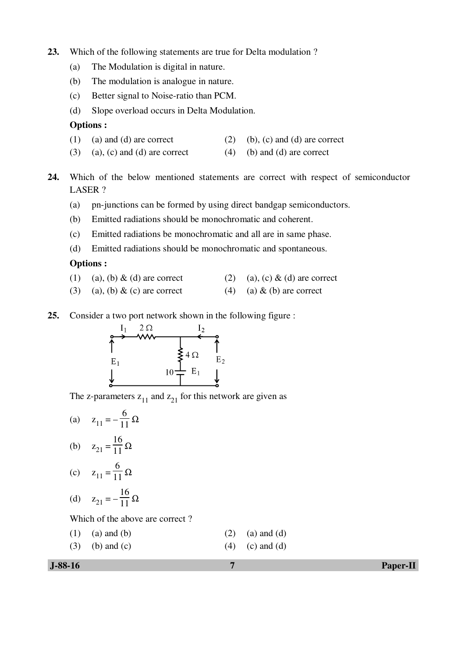- **23.** Which of the following statements are true for Delta modulation ?
	- (a) The Modulation is digital in nature.
	- (b) The modulation is analogue in nature.
	- (c) Better signal to Noise-ratio than PCM.
	- (d) Slope overload occurs in Delta Modulation.

### **Options :**

- (1) (a) and (d) are correct (2) (b), (c) and (d) are correct
- (3) (a), (c) and (d) are correct (4) (b) and (d) are correct
- **24.** Which of the below mentioned statements are correct with respect of semiconductor LASER ?
	- (a) pn-junctions can be formed by using direct bandgap semiconductors.
	- (b) Emitted radiations should be monochromatic and coherent.
	- (c) Emitted radiations be monochromatic and all are in same phase.
	- (d) Emitted radiations should be monochromatic and spontaneous.

#### **Options :**

- (1) (a), (b) & (d) are correct (2) (a), (c) & (d) are correct
- (3) (a), (b) & (c) are correct (4) (a) & (b) are correct
- **25.** Consider a two port network shown in the following figure :



The z-parameters  $z_{11}$  and  $z_{21}$  for this network are given as

(a)  $z_{11} = -$ 6  $\frac{8}{11} \Omega$ (b)  $z_{21} =$ 16  $\frac{18}{11} \Omega$ (c)  $z_{11} =$ 6  $\frac{8}{11} \Omega$ (d)  $z_{21} = -$ 16  $\frac{18}{11} \Omega$ 

Which of the above are correct ?

- (1) (a) and (b) (2) (a) and (d)
- (3) (b) and (c)  $(4)$  (c) and (d)

 **J-88-16 7 Paper-II**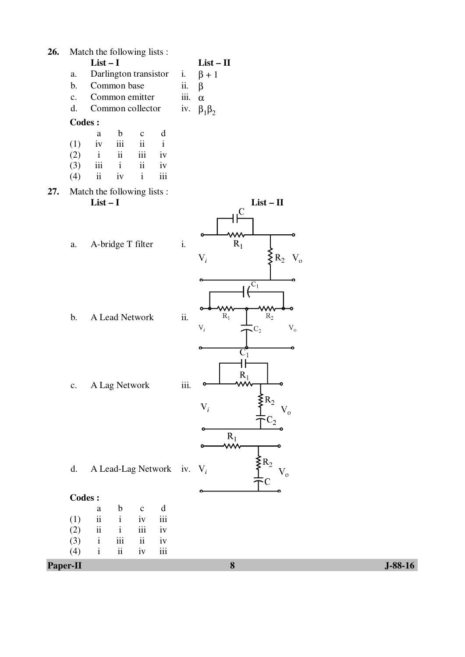| d.<br><b>Codes:</b><br>(1)<br>(2)<br>(3)<br>(4) | $\rm{a}$<br>$\rm ii$<br>$\rm ii$<br>$\mathbf{i}$<br>$\rm i$ | $\mathbf b$<br>$\mathbf{i}$<br>$\mathbf{i}$<br>iii<br>$\rm ii$ | $\mathbf{C}$<br>iv<br>iii<br>$\rm ii$<br>$iv$ | A Lead-Lag Network iv. $V_i$<br>$\mathbf d$<br>iii<br>iv<br>iv<br>$\,$ iii |                                                                        | $\rm V_{o}$                                                          |                            |
|-------------------------------------------------|-------------------------------------------------------------|----------------------------------------------------------------|-----------------------------------------------|----------------------------------------------------------------------------|------------------------------------------------------------------------|----------------------------------------------------------------------|----------------------------|
|                                                 |                                                             |                                                                |                                               |                                                                            |                                                                        |                                                                      |                            |
|                                                 |                                                             |                                                                |                                               |                                                                            |                                                                        |                                                                      |                            |
|                                                 |                                                             |                                                                |                                               |                                                                            |                                                                        |                                                                      |                            |
|                                                 |                                                             |                                                                |                                               |                                                                            |                                                                        |                                                                      |                            |
|                                                 |                                                             |                                                                |                                               |                                                                            |                                                                        |                                                                      |                            |
|                                                 |                                                             |                                                                |                                               |                                                                            |                                                                        | $\Sigma_{R_2}$                                                       |                            |
|                                                 |                                                             |                                                                |                                               |                                                                            |                                                                        | $R_1$<br><mark>∕∕w</mark>                                            |                            |
|                                                 |                                                             |                                                                |                                               |                                                                            |                                                                        | $V_{o}$<br>$C_2$                                                     |                            |
|                                                 | c. A Lag Network                                            |                                                                |                                               |                                                                            |                                                                        | $\S$ R <sub>2</sub><br>$V_i$                                         |                            |
|                                                 |                                                             |                                                                |                                               |                                                                            | iii.                                                                   | ۰<br>$\overline{C_1}$<br>$R_1$                                       |                            |
| $\mathbf b$ .                                   |                                                             | A Lead Network                                                 |                                               |                                                                            | ii.                                                                    | $R_1$<br>$R_2$<br>$\mathbf{V}_i$<br>$\rm V_{o}$<br>$\zeta_{\rm C_2}$ |                            |
| $a$ .                                           |                                                             | A-bridge T filter                                              |                                               |                                                                            | $\mathbf{i}$ .                                                         | $R_1$<br>$\S$ R <sub>2</sub><br>$\mathbf{V}_i$<br>$V_{o}$<br>$C_1$   |                            |
|                                                 | Match the following lists :<br>$List-I$                     |                                                                |                                               |                                                                            |                                                                        | $List - II$<br>$\overline{C}$<br>ww                                  |                            |
| (3)<br>(4)                                      | $\rm ii$                                                    | iv                                                             | $\rm i$                                       | iii                                                                        |                                                                        |                                                                      |                            |
| (2)                                             | $\mathbf{i}$<br>iii                                         | ii<br>$\mathbf{i}$                                             | iii<br>$\rm ii$                               | iv<br>iv                                                                   |                                                                        |                                                                      |                            |
| (1)                                             | a<br>iv                                                     | $\mathbf b$<br>$\rm iii$                                       | $\mathbf C$<br>$\rm ii$                       | $\mathbf d$<br>$\rm i$                                                     |                                                                        |                                                                      |                            |
| <b>Codes:</b>                                   |                                                             |                                                                |                                               |                                                                            |                                                                        |                                                                      |                            |
| $\mathbf{c}$ .<br>d.                            |                                                             | Common collector                                               |                                               |                                                                            | iii.<br>iv.                                                            | $\alpha$<br>$\beta_1\beta_2$                                         |                            |
| b.                                              |                                                             |                                                                |                                               |                                                                            | ii.                                                                    | $\beta$                                                              |                            |
| $a$ .                                           |                                                             |                                                                |                                               |                                                                            |                                                                        |                                                                      |                            |
|                                                 |                                                             |                                                                |                                               |                                                                            |                                                                        |                                                                      |                            |
|                                                 |                                                             |                                                                | $List-I$                                      | Common base                                                                | Match the following lists :<br>Darlington transistor<br>Common emitter | i.                                                                   | $List - II$<br>$\beta + 1$ |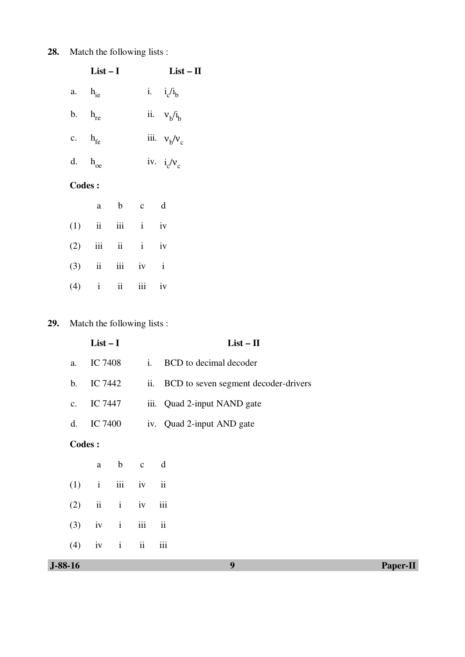# **28.** Match the following lists :

| $List-I$           | $List - II$    |
|--------------------|----------------|
| a. $h_{ie}$        | i. $i_c/i_b$   |
| b. $h_{\text{re}}$ | ii. $vb/ib$    |
| c. $h_{fe}$        | iii. $v_b/v_c$ |
| d. $h_{oe}$        | iv. $i_c/v_c$  |
|                    |                |

## **Codes :**

|  | a | b c d             |  |
|--|---|-------------------|--|
|  |   | $(1)$ ii iii i iv |  |
|  |   | $(2)$ iii ii i iv |  |
|  |   | $(3)$ ii iii iv i |  |
|  |   | $(4)$ i ii iii iv |  |

# **29.** Match the following lists :

|                | $List-I$       |                |              |          | $List - II$                              |  |  |  |
|----------------|----------------|----------------|--------------|----------|------------------------------------------|--|--|--|
| a.             | <b>IC 7408</b> |                | $i$ .        |          | BCD to decimal decoder                   |  |  |  |
| $\mathbf{b}$ . | IC 7442        |                |              |          | ii. BCD to seven segment decoder-drivers |  |  |  |
| c.             | IC 7447        |                |              |          | iii. Quad 2-input NAND gate              |  |  |  |
| d.             |                | <b>IC 7400</b> |              |          | iv. Quad 2-input AND gate                |  |  |  |
|                | <b>Codes:</b>  |                |              |          |                                          |  |  |  |
|                | $\mathbf{a}$   | $\mathbf b$    | $\mathbf{c}$ | d        |                                          |  |  |  |
| (1)            | $\mathbf{i}$   | iii            | iv           | ii       |                                          |  |  |  |
| (2)            | ii             | $\mathbf{i}$   | iv           | iii      |                                          |  |  |  |
| (3)            | iv             | $\mathbf{i}$   | iii          | $\rm ii$ |                                          |  |  |  |
| (4)            | iv             | $\mathbf{i}$   | ii           | iii      |                                          |  |  |  |
| $J-88-16$      |                |                |              |          | 9<br>Paper-II                            |  |  |  |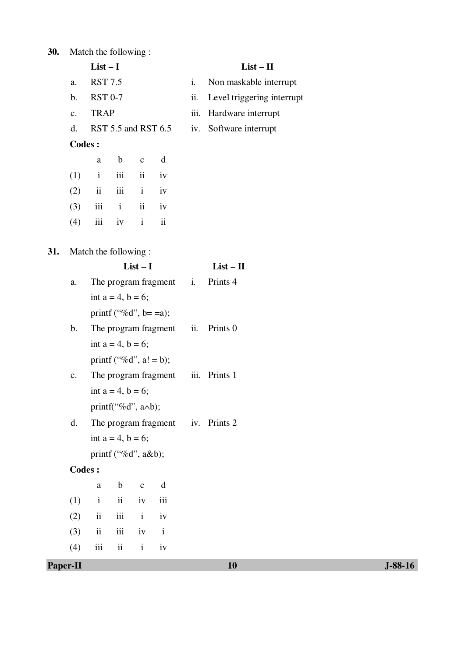| 30. |                | Match the following:     |                              |                     |                          |      |                            |
|-----|----------------|--------------------------|------------------------------|---------------------|--------------------------|------|----------------------------|
|     |                | $List-I$                 |                              |                     |                          |      | $List - II$                |
|     | a.             | <b>RST 7.5</b>           |                              |                     |                          | i.   | Non maskable interrupt     |
|     | b.             | <b>RST 0-7</b>           |                              |                     |                          | ii.  | Level triggering interrupt |
|     | $\mathbf{c}$ . | <b>TRAP</b>              |                              |                     |                          | iii. | Hardware interrupt         |
|     | d.             |                          |                              |                     | RST 5.5 and RST 6.5      | iv.  | Software interrupt         |
|     | <b>Codes:</b>  |                          |                              |                     |                          |      |                            |
|     |                | a                        | $\mathbf b$                  | $\mathbf C$         | d                        |      |                            |
|     | (1)            | $\mathbf{i}$             | iii                          | $\ddot{\mathbf{i}}$ | iv                       |      |                            |
|     | (2)            | ii                       | iii                          | $\mathbf{i}$        | iv                       |      |                            |
|     | (3)            |                          | $iii \t i$                   | $\ddot{\rm n}$      | iv                       |      |                            |
|     | (4)            | iii                      | iv                           | $\mathbf{i}$        | $\overline{\mathbf{ii}}$ |      |                            |
|     |                |                          |                              |                     |                          |      |                            |
| 31. |                | Match the following:     |                              |                     |                          |      |                            |
|     |                | $List-I$                 |                              |                     |                          |      | $List - II$                |
|     | a.             |                          |                              |                     | The program fragment i.  |      | Prints 4                   |
|     |                |                          | int $a = 4$ , $b = 6$ ;      |                     |                          |      |                            |
|     |                |                          | printf ("%d", b= =a);        |                     |                          |      |                            |
|     | b.             |                          |                              |                     | The program fragment ii. |      | Prints <sub>0</sub>        |
|     |                |                          | int $a = 4$ , $b = 6$ ;      |                     |                          |      |                            |
|     |                |                          | printf ("%d", $a! = b$ );    |                     |                          |      |                            |
|     | c.             |                          |                              |                     | The program fragment     | iii. | Prints 1                   |
|     |                |                          | int $a = 4$ , $b = 6$ ;      |                     |                          |      |                            |
|     |                |                          | printf("%d", $a \wedge b$ ); |                     |                          |      |                            |
|     | d.             |                          |                              |                     | The program fragment     |      | iv. Prints 2               |
|     |                |                          | int $a = 4$ , $b = 6$ ;      |                     |                          |      |                            |
|     | <b>Codes:</b>  |                          | printf ("%d", $a&b$ );       |                     |                          |      |                            |
|     |                |                          | $\mathbf b$                  |                     | $\mathbf d$              |      |                            |
|     | (1)            | $\rm{a}$<br>$\mathbf{i}$ | $\ddot{\mathbf{i}}$          | $\mathbf{C}$<br>iv  | iii                      |      |                            |
|     | (2)            | $\ddot{\rm n}$           | iii                          | $\mathbf{i}$        | iv                       |      |                            |
|     | (3)            | $\ddot{\rm n}$           | iii                          | iv                  | $\mathbf{i}$             |      |                            |
|     |                | iii                      | $\ddot{\rm n}$               | $\mathbf{i}$        | iv                       |      |                            |
|     | (4)            |                          |                              |                     |                          |      |                            |

**Paper-II** J-88-16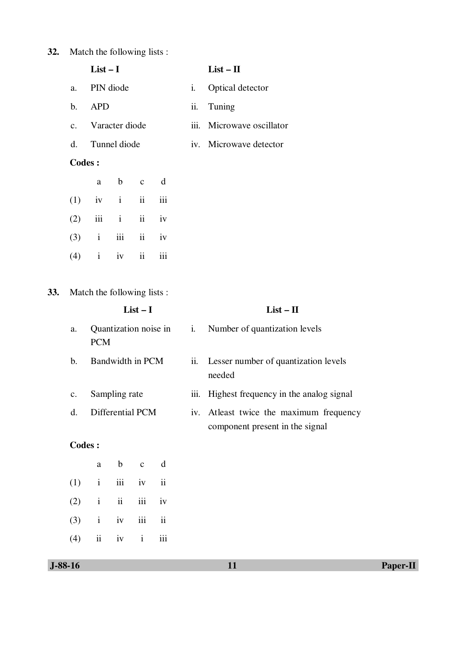# **32.** Match the following lists :

|             | List $-1$         |    | List $-$ II               |
|-------------|-------------------|----|---------------------------|
| a.          | PIN diode         | 1. | Optical detector          |
| $h_{\cdot}$ | <b>APD</b>        |    | ii. Tuning                |
|             | c. Varacter diode |    | iii. Microwave oscillator |
|             | d. Tunnel diode   |    | iv. Microwave detector    |

# **Codes :**

|                   | a b c d |  |
|-------------------|---------|--|
| $(1)$ iv i ii iii |         |  |
| $(2)$ iii i ii iv |         |  |
| $(3)$ i iii ii iv |         |  |
| $(4)$ i iv ii iii |         |  |

**33.** Match the following lists :

| $List-I$      |                                     |             |              |     |       | $List - II$                                                                 |  |  |
|---------------|-------------------------------------|-------------|--------------|-----|-------|-----------------------------------------------------------------------------|--|--|
| a.            | Quantization noise in<br><b>PCM</b> |             |              |     | $i$ . | Number of quantization levels                                               |  |  |
| b.            | Bandwidth in PCM                    |             |              |     | ii.   | Lesser number of quantization levels<br>needed                              |  |  |
| c.            | Sampling rate                       |             |              |     | iii.  | Highest frequency in the analog signal                                      |  |  |
| d.            | Differential PCM                    |             |              |     |       | iv. At least twice the maximum frequency<br>component present in the signal |  |  |
| <b>Codes:</b> |                                     |             |              |     |       |                                                                             |  |  |
|               | a                                   | $\mathbf b$ | $\mathbf{C}$ | d   |       |                                                                             |  |  |
| (1)           | $\mathbf{i}$                        | iii         | iv           | ii  |       |                                                                             |  |  |
| (2)           | $\mathbf{i}$                        | ii          | iii          | iv  |       |                                                                             |  |  |
| (3)           | $\mathbf{i}$                        | iv          | iii          | ii  |       |                                                                             |  |  |
| (4)           | ii                                  | iv          | $\mathbf{i}$ | iii |       |                                                                             |  |  |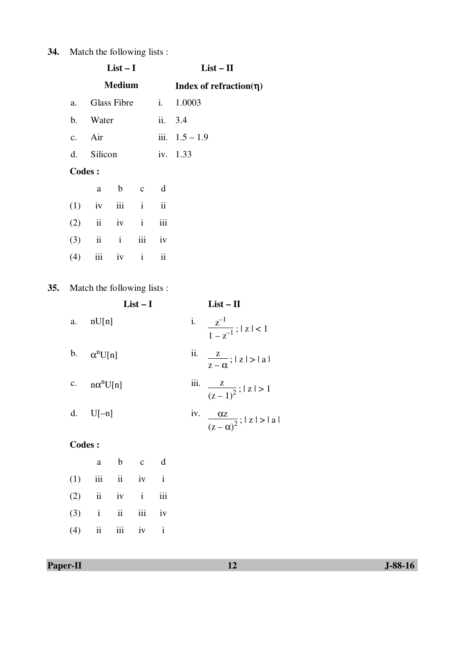# **34.** Match the following lists :

|     |               |                             | $List-I$      |  |             | $List - II$                   |  |  |
|-----|---------------|-----------------------------|---------------|--|-------------|-------------------------------|--|--|
|     |               |                             | <b>Medium</b> |  |             | Index of refraction( $\eta$ ) |  |  |
|     | a.            |                             | Glass Fibre   |  | i.          | 1.0003                        |  |  |
|     |               | b. Water                    |               |  |             | ii. 3.4                       |  |  |
|     |               | c. Air                      |               |  |             | iii. $1.5 - 1.9$              |  |  |
|     |               | d. Silicon                  |               |  |             | iv. 1.33                      |  |  |
|     | <b>Codes:</b> |                             |               |  |             |                               |  |  |
|     |               | a                           | b c           |  | $\mathbf d$ |                               |  |  |
|     |               | $(1)$ iv                    | iii i         |  | ii          |                               |  |  |
|     |               | $(2)$ ii iv i               |               |  | iii         |                               |  |  |
|     |               | $(3)$ ii iii                |               |  | iv          |                               |  |  |
|     | (4)           |                             | iii iv i      |  | ii          |                               |  |  |
| 35. |               | Match the following lists : |               |  |             |                               |  |  |
|     |               | $List-I$                    |               |  |             | $List - II$                   |  |  |

|         | $List-1$           | LIST — 11                                         |
|---------|--------------------|---------------------------------------------------|
| a.      | nU[n]              | i. $\frac{z^{-1}}{1-z^{-1}}$ ;   z   < 1          |
|         | b. $\alpha^n U[n]$ | ii. $\frac{z}{z-\alpha}$ ;   z   >   a            |
| c.      | $n\alpha^n U[n]$   | iii. $\frac{z}{(z-1)^2}$ ; $ z  > 1$              |
|         | d. $U[-n]$         | iv. $\frac{\alpha z}{(z-\alpha)^2}$ ;   z   >   a |
| Codes : |                    |                                                   |

|                   | a | b c d |  |
|-------------------|---|-------|--|
| $(1)$ iii ii iv i |   |       |  |
| $(2)$ ii iv i iii |   |       |  |
| $(3)$ i ii iii iv |   |       |  |
| $(4)$ ii iii iv i |   |       |  |

 $35.$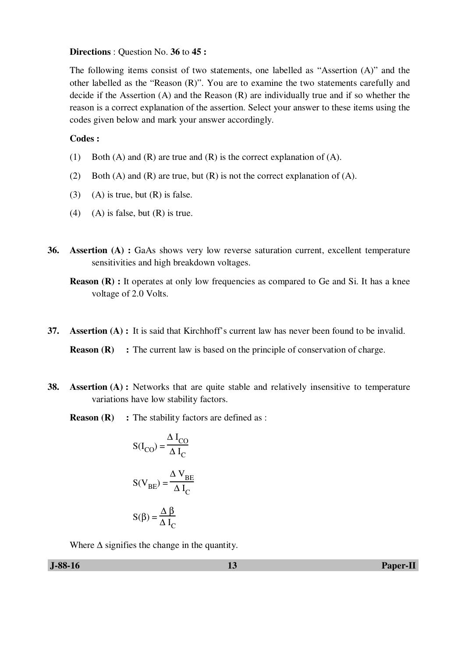#### **Directions** : Question No. **36** to **45 :**

The following items consist of two statements, one labelled as "Assertion (A)" and the other labelled as the "Reason (R)". You are to examine the two statements carefully and decide if the Assertion (A) and the Reason (R) are individually true and if so whether the reason is a correct explanation of the assertion. Select your answer to these items using the codes given below and mark your answer accordingly.

### **Codes :**

- (1) Both (A) and (R) are true and (R) is the correct explanation of (A).
- (2) Both (A) and (R) are true, but (R) is not the correct explanation of (A).
- (3) (A) is true, but  $(R)$  is false.
- (4) (A) is false, but  $(R)$  is true.
- **36. Assertion (A) :** GaAs shows very low reverse saturation current, excellent temperature sensitivities and high breakdown voltages.

**Reason (R) :** It operates at only low frequencies as compared to Ge and Si. It has a knee voltage of 2.0 Volts.

**37. Assertion (A) :** It is said that Kirchhoff's current law has never been found to be invalid.

**Reason (R)** : The current law is based on the principle of conservation of charge.

- **38. Assertion (A) :** Networks that are quite stable and relatively insensitive to temperature variations have low stability factors.
	- **Reason (R)** : The stability factors are defined as :

$$
S(I_{CO}) = \frac{\Delta I_{CO}}{\Delta I_{C}}
$$

$$
S(V_{BE}) = \frac{\Delta V_{BE}}{\Delta I_{C}}
$$

$$
S(\beta) = \frac{\Delta \beta}{\Delta I_{C}}
$$

Where  $\Delta$  signifies the change in the quantity.

 **J-88-16 13 Paper-II**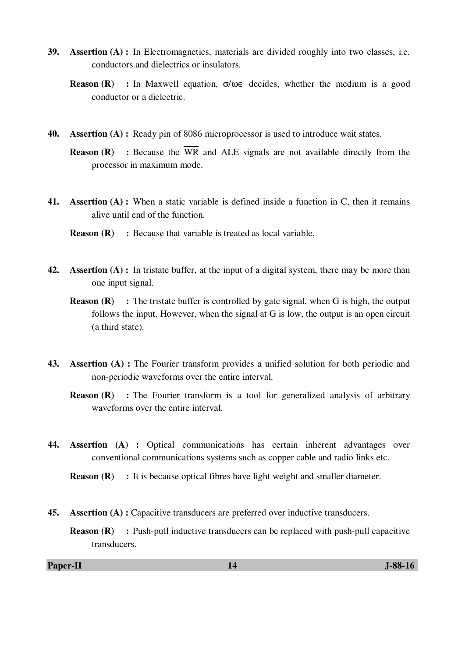- **39. Assertion (A) :** In Electromagnetics, materials are divided roughly into two classes, i.e. conductors and dielectrics or insulators.
	- **Reason (R) :** In Maxwell equation, σ/ω∈ decides, whether the medium is a good conductor or a dielectric.
- **40. Assertion (A) :** Ready pin of 8086 microprocessor is used to introduce wait states.
	- **Reason (R)** : Because the  $\overline{WR}$  and ALE signals are not available directly from the processor in maximum mode.
- **41. Assertion (A) :** When a static variable is defined inside a function in C, then it remains alive until end of the function.
	- **Reason (R)** : Because that variable is treated as local variable.
- **42. Assertion (A) :** In tristate buffer, at the input of a digital system, there may be more than one input signal.
	- **Reason (R)** : The tristate buffer is controlled by gate signal, when G is high, the output follows the input. However, when the signal at G is low, the output is an open circuit (a third state).
- **43. Assertion (A) :** The Fourier transform provides a unified solution for both periodic and non-periodic waveforms over the entire interval.
	- **Reason (R)** : The Fourier transform is a tool for generalized analysis of arbitrary waveforms over the entire interval.
- **44. Assertion (A) :** Optical communications has certain inherent advantages over conventional communications systems such as copper cable and radio links etc.

**Reason (R)** : It is because optical fibres have light weight and smaller diameter.

- **45. Assertion (A) :** Capacitive transducers are preferred over inductive transducers.
	- **Reason (R)** : Push-pull inductive transducers can be replaced with push-pull capacitive transducers.

#### **Paper-II** J-88-16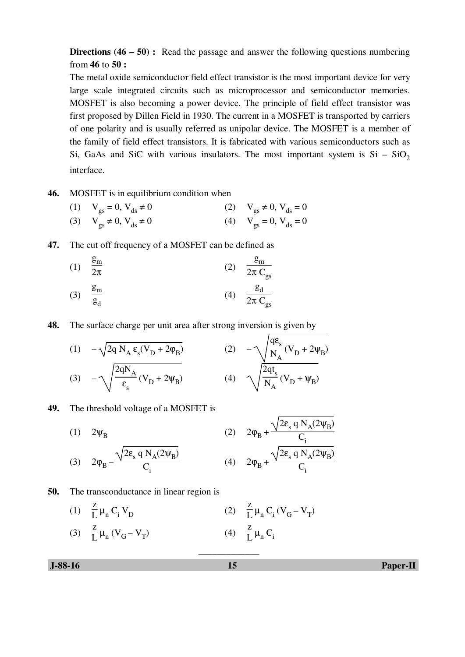**Directions (46 – 50):** Read the passage and answer the following questions numbering from **46** to **50 :** 

The metal oxide semiconductor field effect transistor is the most important device for very large scale integrated circuits such as microprocessor and semiconductor memories. MOSFET is also becoming a power device. The principle of field effect transistor was first proposed by Dillen Field in 1930. The current in a MOSFET is transported by carriers of one polarity and is usually referred as unipolar device. The MOSFET is a member of the family of field effect transistors. It is fabricated with various semiconductors such as Si, GaAs and SiC with various insulators. The most important system is  $Si - SiO<sub>2</sub>$ interface.

 $\ddot{\phantom{0}}$ 

- **46.** MOSFET is in equilibrium condition when
- (1)  $V_{gs} = 0, V_{ds} \neq 0$  (2)  $V_{gs} \neq 0, V_{ds} = 0$ (3)  $V_{gs} \neq 0$ ,  $V_{ds} \neq 0$  (4)  $V_{gs} = 0$ ,  $V_{ds} = 0$
- **47.** The cut off frequency of a MOSFET can be defined as

(1) 
$$
\frac{g_m}{2\pi}
$$
  
\n(2)  $\frac{g_m}{2\pi C_{gs}}$   
\n(3)  $\frac{g_m}{g_d}$   
\n(4)  $\frac{g_d}{2\pi C_{gs}}$ 

**48.** The surface charge per unit area after strong inversion is given by

(1) 
$$
-\sqrt{2q} N_A \epsilon_s (V_D + 2\varphi_B)
$$
  
\n(2)  $-\sqrt{\frac{q\epsilon_s}{N_A}} (V_D + 2\psi_B)$   
\n(3)  $-\sqrt{\frac{2qN_A}{\epsilon_s}} (V_D + 2\psi_B)$   
\n(4)  $\sqrt{\frac{2qt_s}{N_A}} (V_D + \psi_B)$ 

### **49.** The threshold voltage of a MOSFET is

(1)  $2\Psi_{\rm D}$ (2)  $2\phi_B +$  $2\varepsilon_{\rm s}$  q N<sub>A</sub>(2 $\Psi_{\rm B}$ )  $\frac{1}{C_i}$ (3)  $2\phi_B 2\varepsilon_{\rm s}$  q N<sub>A</sub> $(2\psi_{\rm B})$  $C_i$ (4)  $2\phi_B +$  $2\varepsilon_{\rm s}$  q N<sub>A</sub> $(2\psi_{\rm B})$  $\frac{1}{C_i}$ 

### **50.** The transconductance in linear region is

- (1) z  $\frac{E}{L} \mu_n C_i V_D$  $(2)$ z  $\frac{2}{L} \mu_n C_i (V_G - V_T)$
- (3) z  $\frac{E}{L} \mu_n (V_G - V_T)$  $(4)$ z  $\frac{2}{L} \mu_n C_i$

\_\_\_\_\_\_\_\_\_\_\_\_\_

 **J-88-16 15 Paper-II**